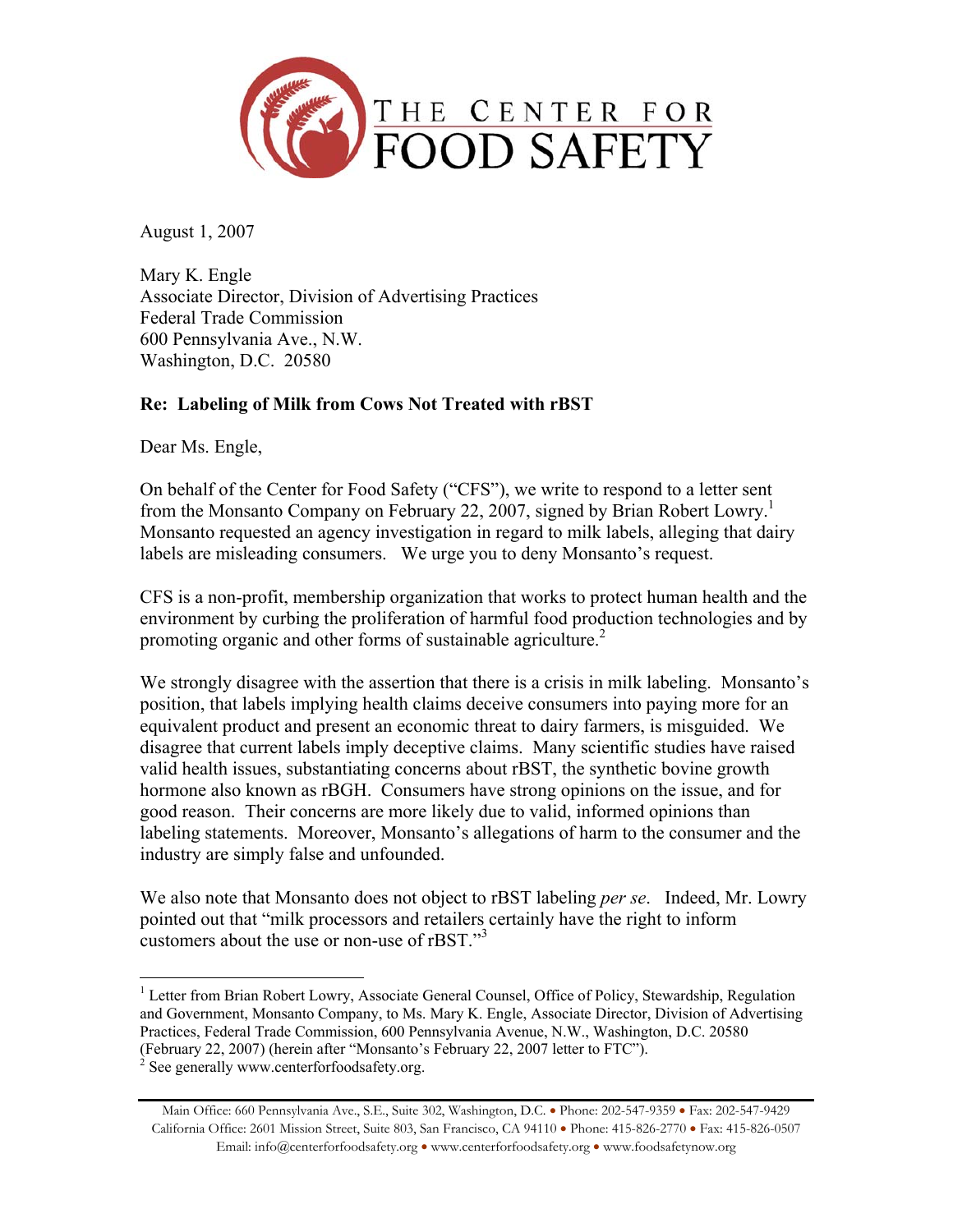

August 1, 2007

Mary K. Engle Associate Director, Division of Advertising Practices Federal Trade Commission 600 Pennsylvania Ave., N.W. Washington, D.C. 20580

### **Re: Labeling of Milk from Cows Not Treated with rBST**

Dear Ms. Engle,

On behalf of the Center for Food Safety ("CFS"), we write to respond to a letter sent from the Monsanto Company on February 22, 2007, signed by Brian Robert Lowry.<sup>1</sup> Monsanto requested an agency investigation in regard to milk labels, alleging that dairy labels are misleading consumers. We urge you to deny Monsanto's request.

CFS is a non-profit, membership organization that works to protect human health and the environment by curbing the proliferation of harmful food production technologies and by promoting organic and other forms of sustainable agriculture.<sup>2</sup>

We strongly disagree with the assertion that there is a crisis in milk labeling. Monsanto's position, that labels implying health claims deceive consumers into paying more for an equivalent product and present an economic threat to dairy farmers, is misguided. We disagree that current labels imply deceptive claims. Many scientific studies have raised valid health issues, substantiating concerns about rBST, the synthetic bovine growth hormone also known as rBGH. Consumers have strong opinions on the issue, and for good reason. Their concerns are more likely due to valid, informed opinions than labeling statements. Moreover, Monsanto's allegations of harm to the consumer and the industry are simply false and unfounded.

We also note that Monsanto does not object to rBST labeling *per se*. Indeed, Mr. Lowry pointed out that "milk processors and retailers certainly have the right to inform customers about the use or non-use of rBST."<sup>3</sup>

<sup>&</sup>lt;sup>1</sup> Letter from Brian Robert Lowry, Associate General Counsel, Office of Policy, Stewardship, Regulation and Government, Monsanto Company, to Ms. Mary K. Engle, Associate Director, Division of Advertising Practices, Federal Trade Commission, 600 Pennsylvania Avenue, N.W., Washington, D.C. 20580 (February 22, 2007) (herein after "Monsanto's February 22, 2007 letter to FTC"). 2

See generally www.centerforfoodsafety.org.

Main Office: 660 Pennsylvania Ave., S.E., Suite 302, Washington, D.C. • Phone: 202-547-9359 • Fax: 202-547-9429 California Office: 2601 Mission Street, Suite 803, San Francisco, CA 94110 • Phone: 415-826-2770 • Fax: 415-826-0507 Email: info@centerforfoodsafety.org • www.centerforfoodsafety.org • www.foodsafetynow.org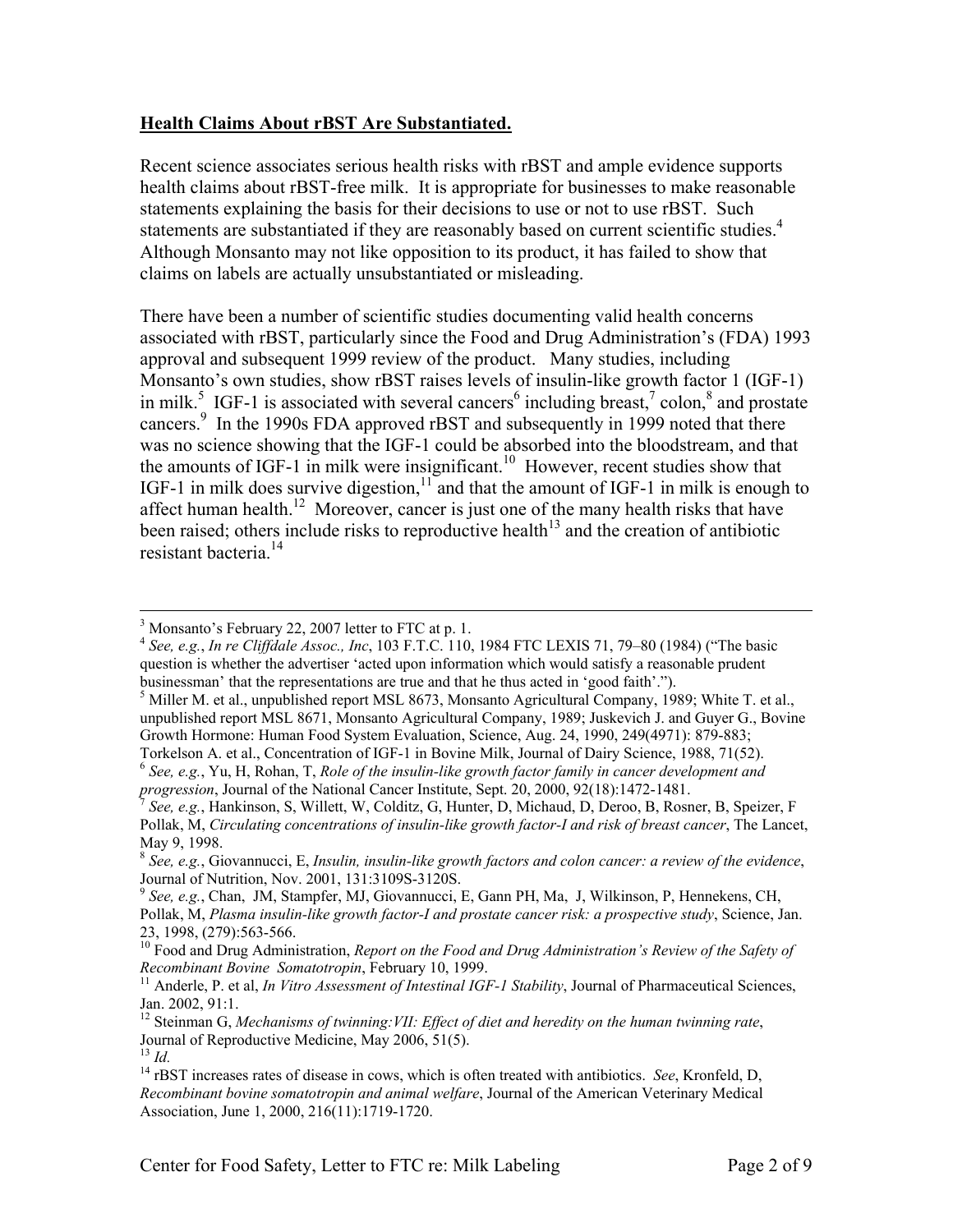#### **Health Claims About rBST Are Substantiated.**

Recent science associates serious health risks with rBST and ample evidence supports health claims about rBST-free milk. It is appropriate for businesses to make reasonable statements explaining the basis for their decisions to use or not to use rBST. Such statements are substantiated if they are reasonably based on current scientific studies.<sup>4</sup> Although Monsanto may not like opposition to its product, it has failed to show that claims on labels are actually unsubstantiated or misleading.

There have been a number of scientific studies documenting valid health concerns associated with rBST, particularly since the Food and Drug Administration's (FDA) 1993 approval and subsequent 1999 review of the product. Many studies, including Monsanto's own studies, show rBST raises levels of insulin-like growth factor 1 (IGF-1) in milk.<sup>5</sup> IGF-1 is associated with several cancers<sup>6</sup> including breast,<sup>7</sup> colon,<sup>8</sup> and prostate cancers.<sup>9</sup> In the 1990s FDA approved rBST and subsequently in 1999 noted that there was no science showing that the IGF-1 could be absorbed into the bloodstream, and that the amounts of IGF-1 in milk were insignificant.<sup>10</sup> However, recent studies show that IGF-1 in milk does survive digestion,  $11$  and that the amount of IGF-1 in milk is enough to affect human health.<sup>12</sup> Moreover, cancer is just one of the many health risks that have been raised; others include risks to reproductive health<sup>13</sup> and the creation of antibiotic resistant bacteria.<sup>14</sup>

 <sup>3</sup>  $3$  Monsanto's February 22, 2007 letter to FTC at p. 1.

<sup>4</sup> *See, e.g.*, *In re Cliffdale Assoc., Inc*, 103 F.T.C. 110, 1984 FTC LEXIS 71, 79–80 (1984) ("The basic question is whether the advertiser 'acted upon information which would satisfy a reasonable prudent businessman' that the representations are true and that he thus acted in 'good faith'.").

<sup>&</sup>lt;sup>5</sup> Miller M. et al., unpublished report MSL 8673, Monsanto Agricultural Company, 1989; White T. et al., unpublished report MSL 8671, Monsanto Agricultural Company, 1989; Juskevich J. and Guyer G., Bovine Growth Hormone: Human Food System Evaluation, Science, Aug. 24, 1990, 249(4971): 879-883; Torkelson A. et al., Concentration of IGF-1 in Bovine Milk, Journal of Dairy Science, 1988, 71(52).

<sup>6</sup> *See, e.g.*, Yu, H, Rohan, T, *Role of the insulin-like growth factor family in cancer development and* 

*See, e.g.*, Hankinson, S, Willett, W, Colditz, G, Hunter, D, Michaud, D, Deroo, B, Rosner, B, Speizer, F Pollak, M, *Circulating concentrations of insulin-like growth factor-I and risk of breast cancer*, The Lancet, May 9, 1998.

<sup>8</sup> *See, e.g.*, Giovannucci, E, *Insulin, insulin-like growth factors and colon cancer: a review of the evidence*, Journal of Nutrition, Nov. 2001, 131:3109S-3120S.

<sup>9</sup> *See, e.g.*, Chan, JM, Stampfer, MJ, Giovannucci, E, Gann PH, Ma, J, Wilkinson, P, Hennekens, CH, Pollak, M, *Plasma insulin-like growth factor-I and prostate cancer risk: a prospective study*, Science, Jan. 23, 1998, (279):563-566.

<sup>&</sup>lt;sup>10</sup> Food and Drug Administration, *Report on the Food and Drug Administration's Review of the Safety of Recombinant Bovine Somatotropin, February 10, 1999.* 

<sup>&</sup>lt;sup>11</sup> Anderle, P. et al, *In Vitro Assessment of Intestinal IGF-1 Stability*, Journal of Pharmaceutical Sciences, Jan. 2002, 91:1.

<sup>12</sup> Steinman G, *Mechanisms of twinning:VII: Effect of diet and heredity on the human twinning rate*, Journal of Reproductive Medicine, May 2006, 51(5).<br><sup>13</sup> Id.

<sup>&</sup>lt;sup>14</sup> rBST increases rates of disease in cows, which is often treated with antibiotics. *See*, Kronfeld, D, *Recombinant bovine somatotropin and animal welfare*, Journal of the American Veterinary Medical Association, June 1, 2000, 216(11):1719-1720.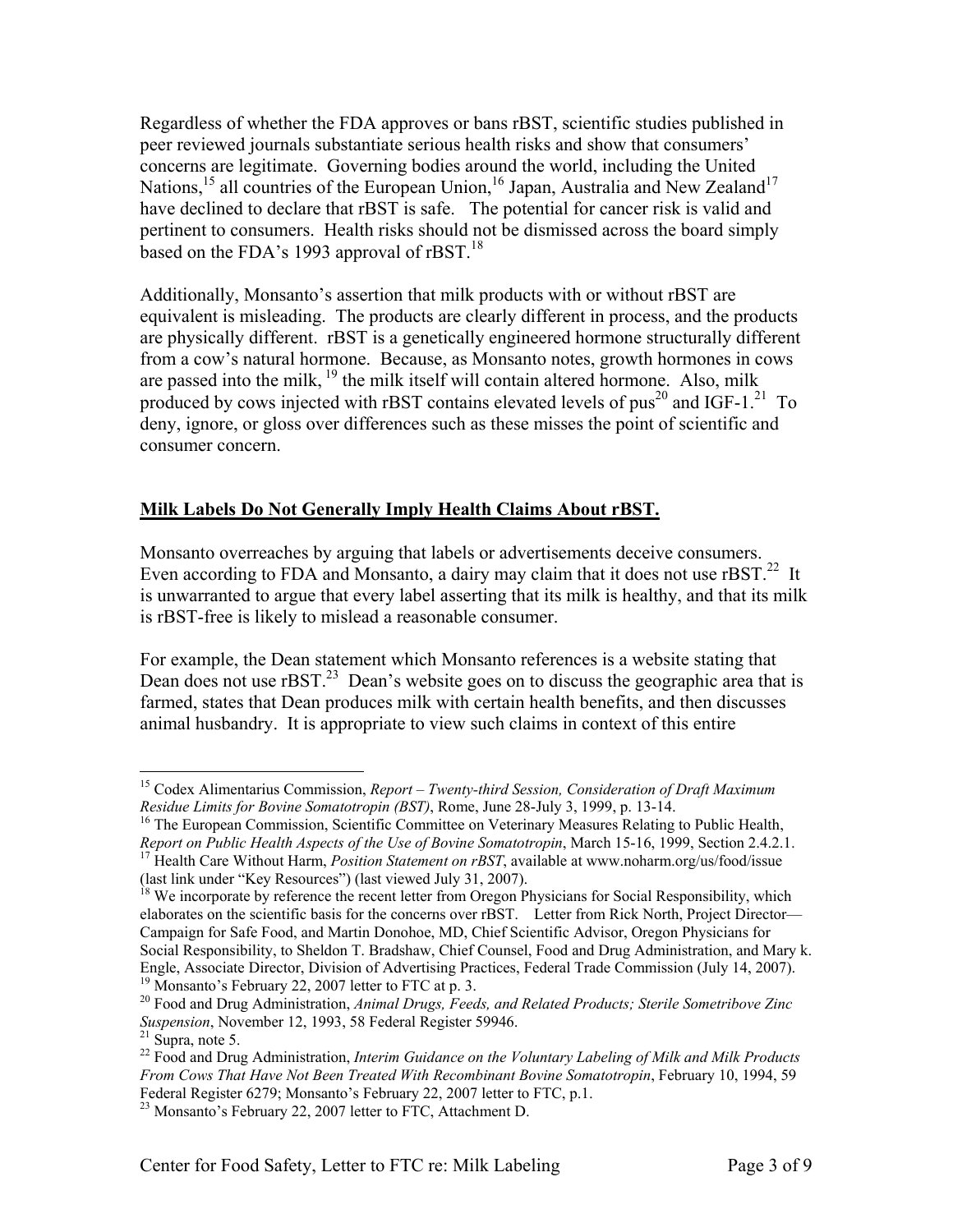Regardless of whether the FDA approves or bans rBST, scientific studies published in peer reviewed journals substantiate serious health risks and show that consumers' concerns are legitimate. Governing bodies around the world, including the United Nations,<sup>15</sup> all countries of the European Union,<sup>16</sup> Japan, Australia and New Zealand<sup>17</sup> have declined to declare that rBST is safe. The potential for cancer risk is valid and pertinent to consumers. Health risks should not be dismissed across the board simply based on the FDA's 1993 approval of rBST.<sup>18</sup>

Additionally, Monsanto's assertion that milk products with or without rBST are equivalent is misleading. The products are clearly different in process, and the products are physically different. rBST is a genetically engineered hormone structurally different from a cow's natural hormone. Because, as Monsanto notes, growth hormones in cows are passed into the milk,  $^{19}$  the milk itself will contain altered hormone. Also, milk produced by cows injected with rBST contains elevated levels of pus<sup>20</sup> and IGF-1.<sup>21</sup> To deny, ignore, or gloss over differences such as these misses the point of scientific and consumer concern.

#### **Milk Labels Do Not Generally Imply Health Claims About rBST.**

Monsanto overreaches by arguing that labels or advertisements deceive consumers. Even according to FDA and Monsanto, a dairy may claim that it does not use  $rBST<sup>22</sup>$  It is unwarranted to argue that every label asserting that its milk is healthy, and that its milk is rBST-free is likely to mislead a reasonable consumer.

For example, the Dean statement which Monsanto references is a website stating that Dean does not use  $rBST<sup>23</sup>$  Dean's website goes on to discuss the geographic area that is farmed, states that Dean produces milk with certain health benefits, and then discusses animal husbandry. It is appropriate to view such claims in context of this entire

1

<sup>15</sup> Codex Alimentarius Commission, *Report – Twenty-third Session, Consideration of Draft Maximum Residue Limits for Bovine Somatotropin (BST)*, Rome, June 28-July 3, 1999, p. 13-14.<br><sup>16</sup> The European Commission, Scientific Committee on Veterinary Measures Relating to Public Health,

*Report on Public Health Aspects of the Use of Bovine Somatotropin*, March 15-16, 1999, Section 2.4.2.1. 17 Health Care Without Harm, *Position Statement on rBST*, available at www.noharm.org/us/food/issue

<sup>(</sup>last link under "Key Resources") (last viewed July 31, 2007).

<sup>&</sup>lt;sup>18</sup> We incorporate by reference the recent letter from Oregon Physicians for Social Responsibility, which elaborates on the scientific basis for the concerns over rBST. Letter from Rick North, Project Director— Campaign for Safe Food, and Martin Donohoe, MD, Chief Scientific Advisor, Oregon Physicians for Social Responsibility, to Sheldon T. Bradshaw, Chief Counsel, Food and Drug Administration, and Mary k. Engle, Associate Director, Division of Advertising Practices, Federal Trade Commission (July 14, 2007). <sup>19</sup> Monsanto's February 22, 2007 letter to FTC at p. 3.

<sup>20</sup> Food and Drug Administration, *Animal Drugs, Feeds, and Related Products; Sterile Sometribove Zinc Suspension*, November 12, 1993, 58 Federal Register 59946.<br><sup>21</sup> Supra, note 5.

<sup>22</sup> Food and Drug Administration, *Interim Guidance on the Voluntary Labeling of Milk and Milk Products From Cows That Have Not Been Treated With Recombinant Bovine Somatotropin*, February 10, 1994, 59 Federal Register 6279; Monsanto's February 22, 2007 letter to FTC, p.1.

<sup>&</sup>lt;sup>23</sup> Monsanto's February 22, 2007 letter to FTC, Attachment D.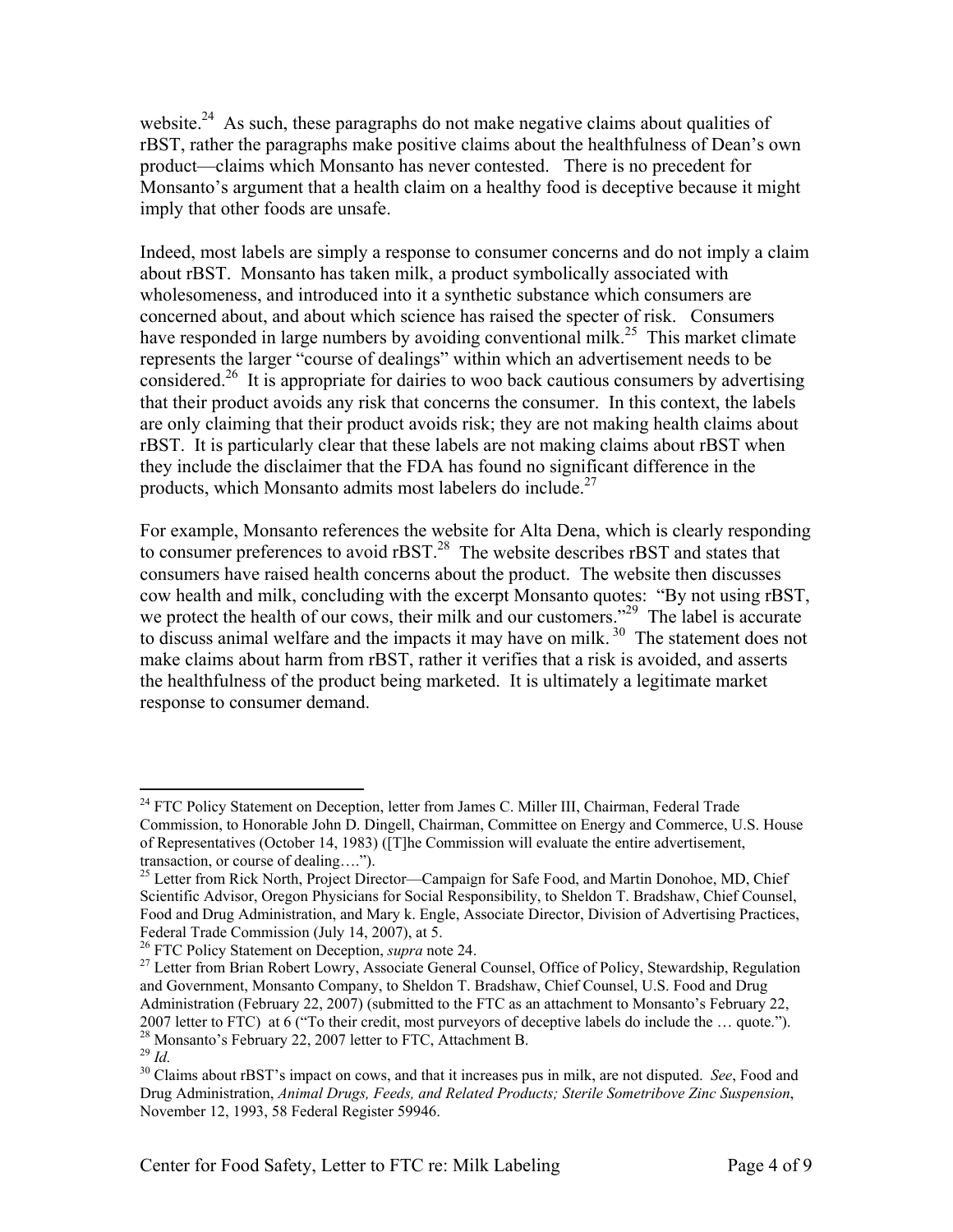website.<sup>24</sup> As such, these paragraphs do not make negative claims about qualities of rBST, rather the paragraphs make positive claims about the healthfulness of Dean's own product—claims which Monsanto has never contested. There is no precedent for Monsanto's argument that a health claim on a healthy food is deceptive because it might imply that other foods are unsafe.

Indeed, most labels are simply a response to consumer concerns and do not imply a claim about rBST. Monsanto has taken milk, a product symbolically associated with wholesomeness, and introduced into it a synthetic substance which consumers are concerned about, and about which science has raised the specter of risk. Consumers have responded in large numbers by avoiding conventional milk.<sup>25</sup> This market climate represents the larger "course of dealings" within which an advertisement needs to be considered.<sup>26</sup> It is appropriate for dairies to woo back cautious consumers by advertising that their product avoids any risk that concerns the consumer. In this context, the labels are only claiming that their product avoids risk; they are not making health claims about rBST. It is particularly clear that these labels are not making claims about rBST when they include the disclaimer that the FDA has found no significant difference in the products, which Monsanto admits most labelers do include. $27$ 

For example, Monsanto references the website for Alta Dena, which is clearly responding to consumer preferences to avoid rBST.<sup>28</sup> The website describes rBST and states that consumers have raised health concerns about the product. The website then discusses cow health and milk, concluding with the excerpt Monsanto quotes: "By not using rBST, we protect the health of our cows, their milk and our customers."<sup>29</sup> The label is accurate to discuss animal welfare and the impacts it may have on milk.<sup>30</sup> The statement does not make claims about harm from rBST, rather it verifies that a risk is avoided, and asserts the healthfulness of the product being marketed. It is ultimately a legitimate market response to consumer demand.

1

<sup>&</sup>lt;sup>24</sup> FTC Policy Statement on Deception, letter from James C. Miller III, Chairman, Federal Trade Commission, to Honorable John D. Dingell, Chairman, Committee on Energy and Commerce, U.S. House of Representatives (October 14, 1983) ([T]he Commission will evaluate the entire advertisement,

transaction, or course of dealing….").<br><sup>25</sup> Letter from Rick North, Project Director—Campaign for Safe Food, and Martin Donohoe, MD, Chief Scientific Advisor, Oregon Physicians for Social Responsibility, to Sheldon T. Bradshaw, Chief Counsel, Food and Drug Administration, and Mary k. Engle, Associate Director, Division of Advertising Practices, Federal Trade Commission (July 14, 2007), at 5.<br><sup>26</sup> FTC Policy Statement on Deception, *supra* note 24.

<sup>&</sup>lt;sup>27</sup> Letter from Brian Robert Lowry, Associate General Counsel, Office of Policy, Stewardship, Regulation and Government, Monsanto Company, to Sheldon T. Bradshaw, Chief Counsel, U.S. Food and Drug Administration (February 22, 2007) (submitted to the FTC as an attachment to Monsanto's February 22, 2007 letter to FTC) at 6 ("To their credit, most purveyors of deceptive labels do include the ... quote."). <sup>28</sup> Monsanto's February 22, 2007 letter to FTC, Attachment B.<br><sup>29</sup> Id

<sup>&</sup>lt;sup>30</sup> Claims about rBST's impact on cows, and that it increases pus in milk, are not disputed. *See*, Food and Drug Administration, *Animal Drugs, Feeds, and Related Products; Sterile Sometribove Zinc Suspension*, November 12, 1993, 58 Federal Register 59946.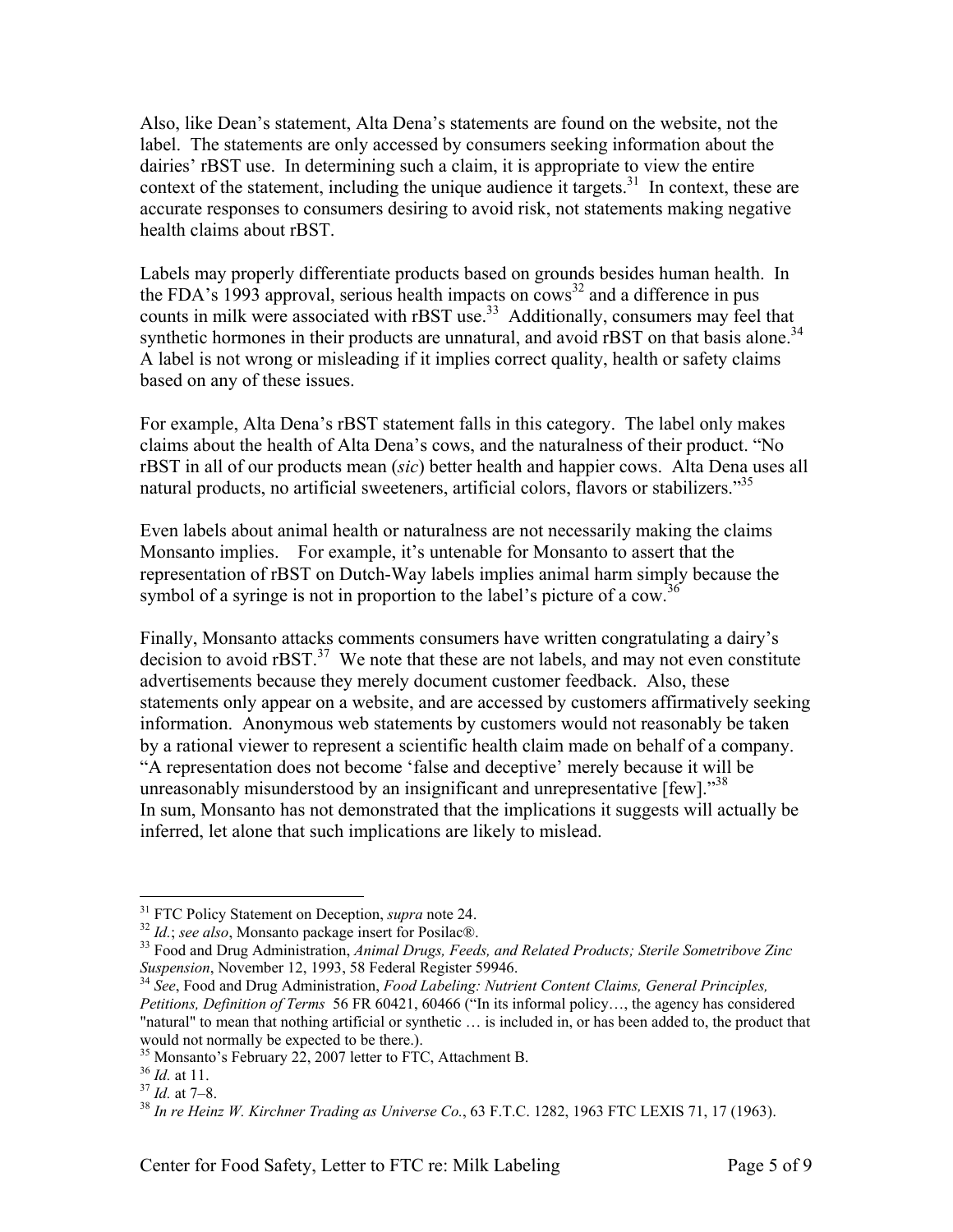Also, like Dean's statement, Alta Dena's statements are found on the website, not the label. The statements are only accessed by consumers seeking information about the dairies' rBST use. In determining such a claim, it is appropriate to view the entire context of the statement, including the unique audience it targets.<sup>31</sup> In context, these are accurate responses to consumers desiring to avoid risk, not statements making negative health claims about rBST.

Labels may properly differentiate products based on grounds besides human health. In the FDA's 1993 approval, serious health impacts on  $\cos^{32}$  and a difference in pus counts in milk were associated with rBST use.<sup>33</sup> Additionally, consumers may feel that synthetic hormones in their products are unnatural, and avoid rBST on that basis alone.<sup>34</sup> A label is not wrong or misleading if it implies correct quality, health or safety claims based on any of these issues.

For example, Alta Dena's rBST statement falls in this category. The label only makes claims about the health of Alta Dena's cows, and the naturalness of their product. "No rBST in all of our products mean (*sic*) better health and happier cows. Alta Dena uses all natural products, no artificial sweeteners, artificial colors, flavors or stabilizers."<sup>35</sup>

Even labels about animal health or naturalness are not necessarily making the claims Monsanto implies. For example, it's untenable for Monsanto to assert that the representation of rBST on Dutch-Way labels implies animal harm simply because the symbol of a syringe is not in proportion to the label's picture of a cow.<sup>36</sup>

Finally, Monsanto attacks comments consumers have written congratulating a dairy's decision to avoid  $r\text{BST}$ <sup>37</sup> We note that these are not labels, and may not even constitute advertisements because they merely document customer feedback. Also, these statements only appear on a website, and are accessed by customers affirmatively seeking information. Anonymous web statements by customers would not reasonably be taken by a rational viewer to represent a scientific health claim made on behalf of a company. "A representation does not become 'false and deceptive' merely because it will be unreasonably misunderstood by an insignificant and unrepresentative [few]."<sup>38</sup> In sum, Monsanto has not demonstrated that the implications it suggests will actually be inferred, let alone that such implications are likely to mislead.

<sup>&</sup>lt;sup>31</sup> FTC Policy Statement on Deception, *supra* note 24.<br><sup>32</sup> *Id.*; *see also*, Monsanto package insert for Posilac®.<br><sup>33</sup> Food and Drug Administration, *Animal Drugs, Feeds, and Related Products; Sterile Sometribove Zin* 

<sup>&</sup>lt;sup>34</sup> See, Food and Drug Administration, *Food Labeling: Nutrient Content Claims, General Principles, Petitions, Definition of Terms* 56 FR 60421, 60466 ("In its informal policy…, the agency has considered "natural" to mean that nothing artificial or synthetic … is included in, or has been added to, the product that would not normally be expected to be there.).

<sup>&</sup>lt;sup>35</sup> Monsanto's February 22, 2007 letter to FTC, Attachment B. <sup>36</sup> *Id.* at 11.

<sup>&</sup>lt;sup>37</sup> *Id.* at 7–8.<br><sup>38</sup> *In re Heinz W. Kirchner Trading as Universe Co.*, 63 F.T.C. 1282, 1963 FTC LEXIS 71, 17 (1963).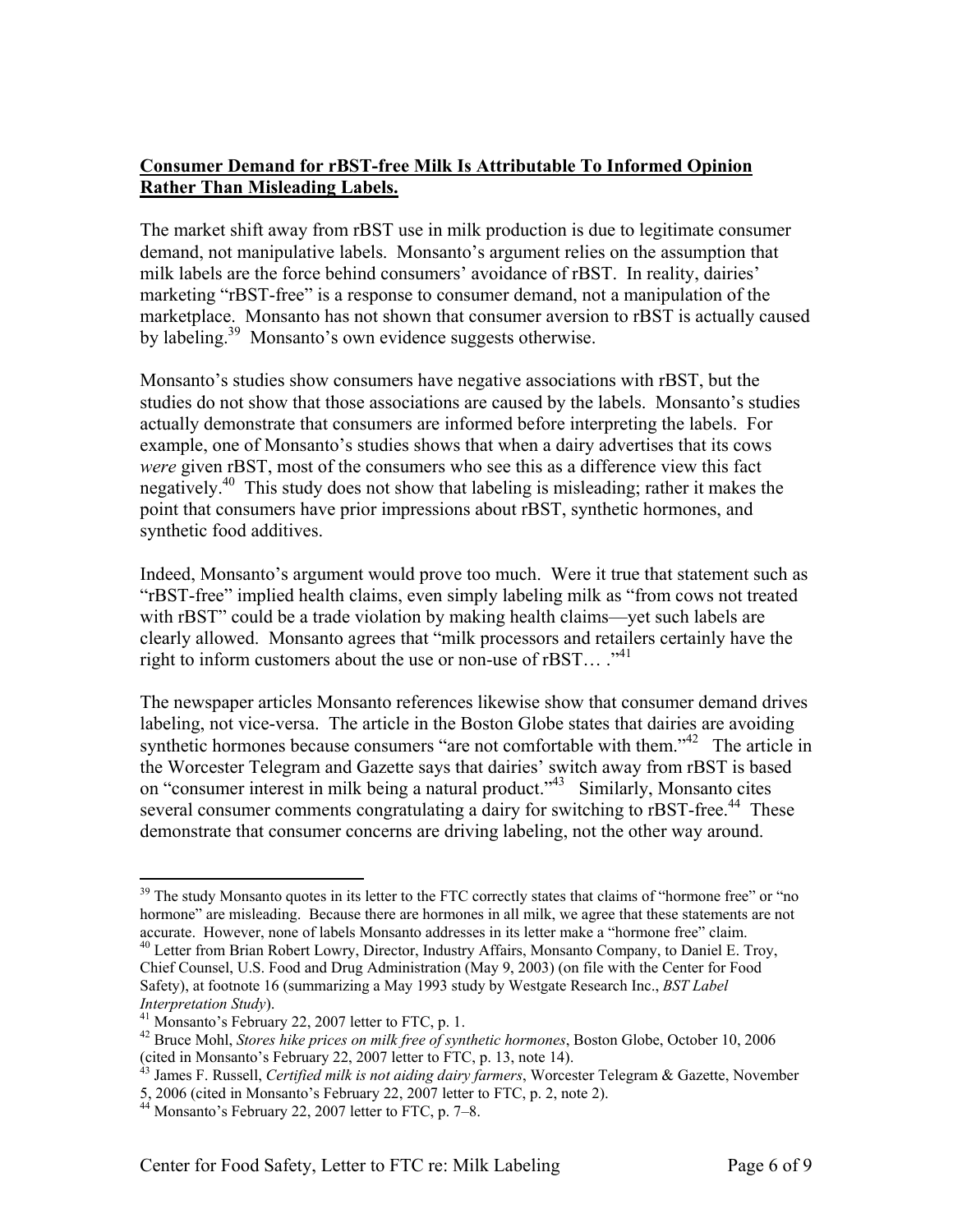# **Consumer Demand for rBST-free Milk Is Attributable To Informed Opinion Rather Than Misleading Labels.**

The market shift away from rBST use in milk production is due to legitimate consumer demand, not manipulative labels. Monsanto's argument relies on the assumption that milk labels are the force behind consumers' avoidance of rBST. In reality, dairies' marketing "rBST-free" is a response to consumer demand, not a manipulation of the marketplace. Monsanto has not shown that consumer aversion to rBST is actually caused by labeling.39 Monsanto's own evidence suggests otherwise.

Monsanto's studies show consumers have negative associations with rBST, but the studies do not show that those associations are caused by the labels. Monsanto's studies actually demonstrate that consumers are informed before interpreting the labels. For example, one of Monsanto's studies shows that when a dairy advertises that its cows *were* given rBST, most of the consumers who see this as a difference view this fact negatively.<sup>40</sup> This study does not show that labeling is misleading; rather it makes the point that consumers have prior impressions about rBST, synthetic hormones, and synthetic food additives.

Indeed, Monsanto's argument would prove too much. Were it true that statement such as "rBST-free" implied health claims, even simply labeling milk as "from cows not treated with rBST" could be a trade violation by making health claims—yet such labels are clearly allowed. Monsanto agrees that "milk processors and retailers certainly have the right to inform customers about the use or non-use of rBST... ."<sup>41</sup>

The newspaper articles Monsanto references likewise show that consumer demand drives labeling, not vice-versa. The article in the Boston Globe states that dairies are avoiding synthetic hormones because consumers "are not comfortable with them."<sup>42</sup> The article in the Worcester Telegram and Gazette says that dairies' switch away from rBST is based on "consumer interest in milk being a natural product."43 Similarly, Monsanto cites several consumer comments congratulating a dairy for switching to rBST-free.<sup>44</sup> These demonstrate that consumer concerns are driving labeling, not the other way around.

<sup>1</sup> <sup>39</sup> The study Monsanto quotes in its letter to the FTC correctly states that claims of "hormone free" or "no hormone" are misleading. Because there are hormones in all milk, we agree that these statements are not accurate. However, none of labels Monsanto addresses in its letter make a "hormone free" claim. 40 Letter from Brian Robert Lowry, Director, Industry Affairs, Monsanto Company, to Daniel E. Troy,

Chief Counsel, U.S. Food and Drug Administration (May 9, 2003) (on file with the Center for Food Safety), at footnote 16 (summarizing a May 1993 study by Westgate Research Inc., *BST Label Interpretation Study*). 41 Monsanto's February 22, 2007 letter to FTC, p. 1.

<sup>42</sup> Bruce Mohl, *Stores hike prices on milk free of synthetic hormones*, Boston Globe, October 10, 2006 (cited in Monsanto's February 22, 2007 letter to FTC, p. 13, note 14).

<sup>43</sup> James F. Russell, *Certified milk is not aiding dairy farmers*, Worcester Telegram & Gazette, November

<sup>5, 2006 (</sup>cited in Monsanto's February 22, 2007 letter to FTC, p. 2, note 2).

 $44$  Monsanto's February 22, 2007 letter to FTC, p. 7–8.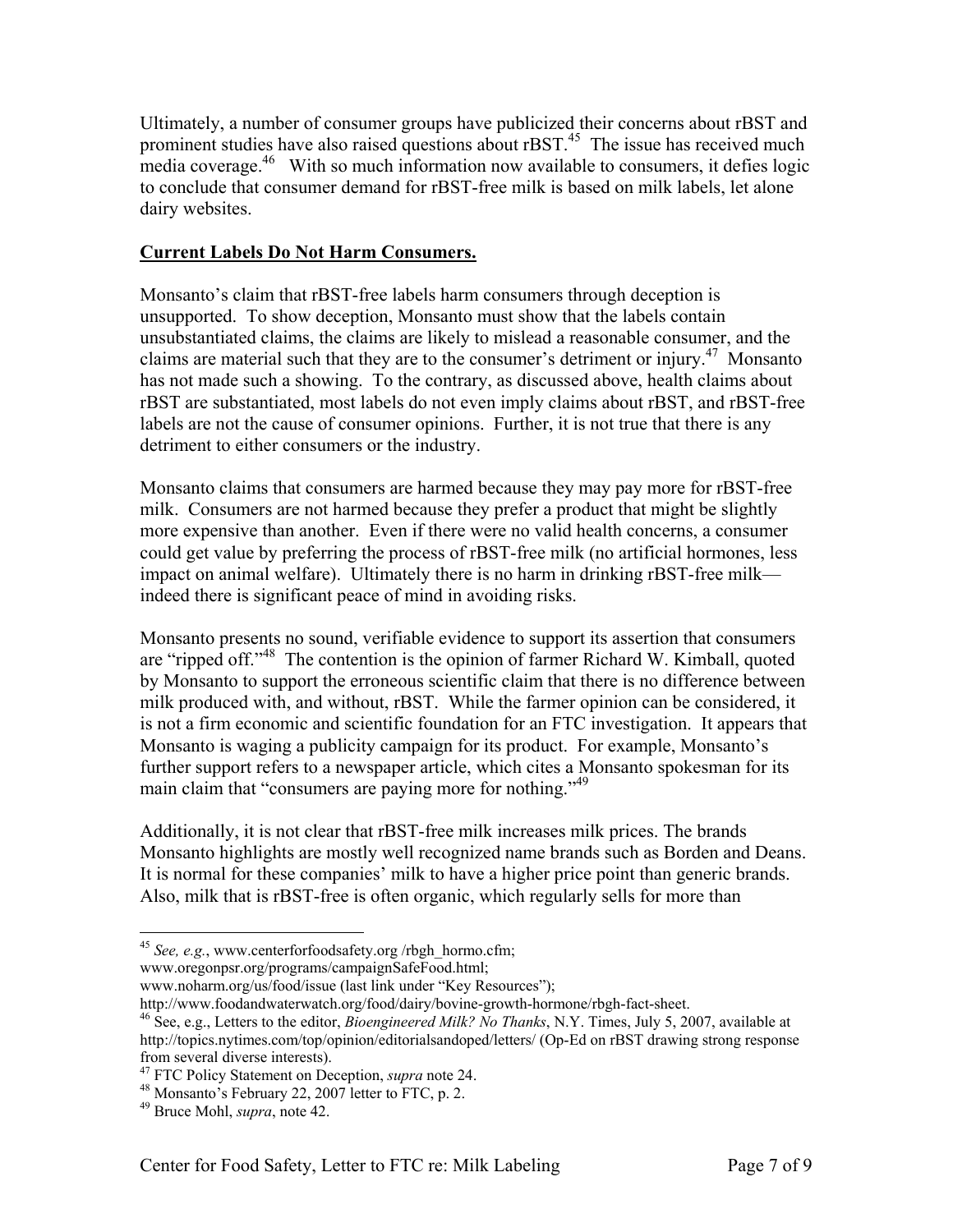Ultimately, a number of consumer groups have publicized their concerns about rBST and prominent studies have also raised questions about rBST.<sup>45</sup> The issue has received much media coverage.<sup>46</sup> With so much information now available to consumers, it defies logic to conclude that consumer demand for rBST-free milk is based on milk labels, let alone dairy websites.

# **Current Labels Do Not Harm Consumers.**

Monsanto's claim that rBST-free labels harm consumers through deception is unsupported. To show deception, Monsanto must show that the labels contain unsubstantiated claims, the claims are likely to mislead a reasonable consumer, and the claims are material such that they are to the consumer's detriment or injury.<sup>47</sup> Monsanto has not made such a showing. To the contrary, as discussed above, health claims about rBST are substantiated, most labels do not even imply claims about rBST, and rBST-free labels are not the cause of consumer opinions. Further, it is not true that there is any detriment to either consumers or the industry.

Monsanto claims that consumers are harmed because they may pay more for rBST-free milk. Consumers are not harmed because they prefer a product that might be slightly more expensive than another. Even if there were no valid health concerns, a consumer could get value by preferring the process of rBST-free milk (no artificial hormones, less impact on animal welfare). Ultimately there is no harm in drinking rBST-free milk indeed there is significant peace of mind in avoiding risks.

Monsanto presents no sound, verifiable evidence to support its assertion that consumers are "ripped off."48 The contention is the opinion of farmer Richard W. Kimball, quoted by Monsanto to support the erroneous scientific claim that there is no difference between milk produced with, and without, rBST. While the farmer opinion can be considered, it is not a firm economic and scientific foundation for an FTC investigation. It appears that Monsanto is waging a publicity campaign for its product. For example, Monsanto's further support refers to a newspaper article, which cites a Monsanto spokesman for its main claim that "consumers are paying more for nothing."<sup>49</sup>

Additionally, it is not clear that rBST-free milk increases milk prices. The brands Monsanto highlights are mostly well recognized name brands such as Borden and Deans. It is normal for these companies' milk to have a higher price point than generic brands. Also, milk that is rBST-free is often organic, which regularly sells for more than

www.oregonpsr.org/programs/campaignSafeFood.html;

 $\overline{a}$ <sup>45</sup> See, e.g., www.centerforfoodsafety.org /rbgh\_hormo.cfm;

www.noharm.org/us/food/issue (last link under "Key Resources");<br>http://www.foodandwaterwatch.org/food/dairy/bovine-growth-hormone/rbgh-fact-sheet.

<sup>&</sup>lt;sup>46</sup> See, e.g., Letters to the editor, *Bioengineered Milk? No Thanks*, N.Y. Times, July 5, 2007, available at http://topics.nytimes.com/top/opinion/editorialsandoped/letters/ (Op-Ed on rBST drawing strong response from several diverse interests).<br><sup>47</sup> FTC Policy Statement on Deception, *supra* note 24.

<sup>&</sup>lt;sup>48</sup> Monsanto's February 22, 2007 letter to FTC, p. 2.

<sup>49</sup> Bruce Mohl, *supra*, note 42.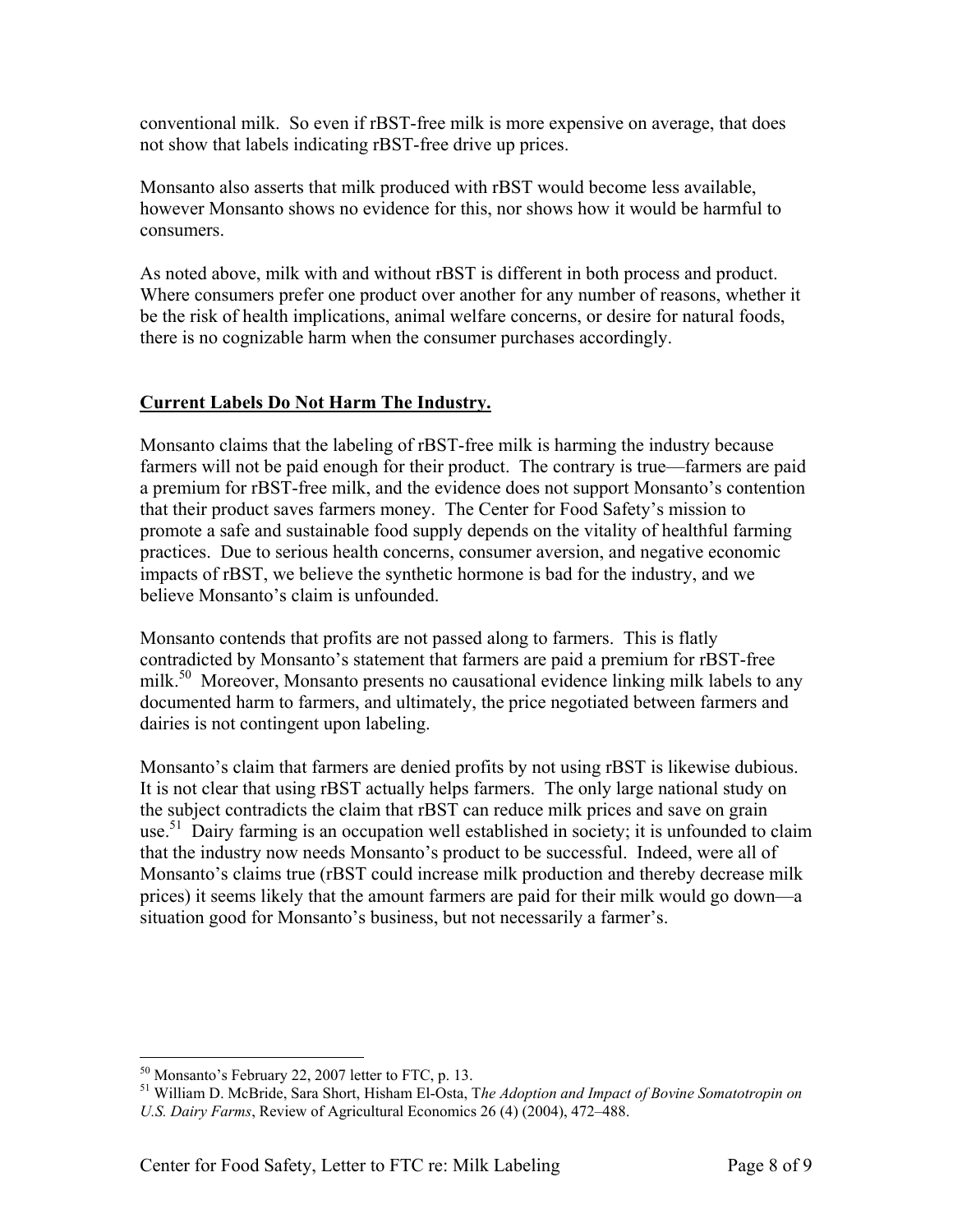conventional milk. So even if rBST-free milk is more expensive on average, that does not show that labels indicating rBST-free drive up prices.

Monsanto also asserts that milk produced with rBST would become less available, however Monsanto shows no evidence for this, nor shows how it would be harmful to consumers.

As noted above, milk with and without rBST is different in both process and product. Where consumers prefer one product over another for any number of reasons, whether it be the risk of health implications, animal welfare concerns, or desire for natural foods, there is no cognizable harm when the consumer purchases accordingly.

# **Current Labels Do Not Harm The Industry.**

Monsanto claims that the labeling of rBST-free milk is harming the industry because farmers will not be paid enough for their product. The contrary is true—farmers are paid a premium for rBST-free milk, and the evidence does not support Monsanto's contention that their product saves farmers money. The Center for Food Safety's mission to promote a safe and sustainable food supply depends on the vitality of healthful farming practices. Due to serious health concerns, consumer aversion, and negative economic impacts of rBST, we believe the synthetic hormone is bad for the industry, and we believe Monsanto's claim is unfounded.

Monsanto contends that profits are not passed along to farmers. This is flatly contradicted by Monsanto's statement that farmers are paid a premium for rBST-free milk.<sup>50</sup> Moreover, Monsanto presents no causational evidence linking milk labels to any documented harm to farmers, and ultimately, the price negotiated between farmers and dairies is not contingent upon labeling.

Monsanto's claim that farmers are denied profits by not using rBST is likewise dubious. It is not clear that using rBST actually helps farmers. The only large national study on the subject contradicts the claim that rBST can reduce milk prices and save on grain use.<sup>51</sup> Dairy farming is an occupation well established in society; it is unfounded to claim that the industry now needs Monsanto's product to be successful. Indeed, were all of Monsanto's claims true (rBST could increase milk production and thereby decrease milk prices) it seems likely that the amount farmers are paid for their milk would go down—a situation good for Monsanto's business, but not necessarily a farmer's.

<sup>50</sup> Monsanto's February 22, 2007 letter to FTC, p. 13.

<sup>51</sup> William D. McBride, Sara Short, Hisham El-Osta, T*he Adoption and Impact of Bovine Somatotropin on U.S. Dairy Farms*, Review of Agricultural Economics 26 (4) (2004), 472–488.